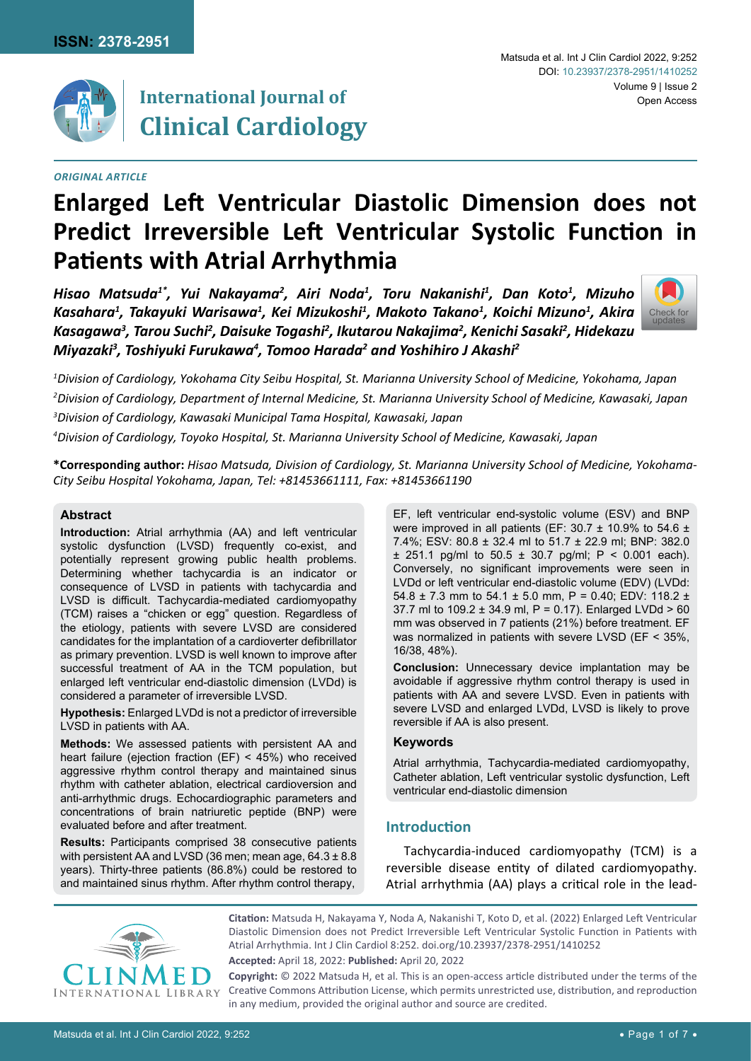

# **International Journal of Clinical Cardiology**

## *Original Article*

#### Matsuda et al. Int J Clin Cardiol 2022, 9:252 Volume 9 | Issue 2 Open Access DOI: [10.23937/2378-2951/1410252](https://doi.org/10.23937/2378-2951/1410252)

# **Enlarged Left Ventricular Diastolic Dimension does not Predict Irreversible Left Ventricular Systolic Function in Patients with Atrial Arrhythmia**

*Hisao Matsuda1\*, Yui Nakayama2 , Airi Noda1 , Toru Nakanishi1 , Dan Koto1 , Mizuho*  Kasahara<sup>1</sup>, Takayuki Warisawa<sup>1</sup>, Kei Mizukoshi<sup>1</sup>, Makoto Takano<sup>1</sup>, Koichi Mizuno<sup>1</sup>, Akira *Kasagawa3 , Tarou Suchi2 , Daisuke Togashi2 , Ikutarou Nakajima2 , Kenichi Sasaki2 , Hidekazu*  Miyazaki<sup>3</sup>, Toshiyuki Furukawa<sup>4</sup>, Tomoo Harada<sup>2</sup> and Yoshihiro J Akashi<sup>2</sup>



*1 Division of Cardiology, Yokohama City Seibu Hospital, St. Marianna University School of Medicine, Yokohama, Japan 2 Division of Cardiology, Department of Internal Medicine, St. Marianna University School of Medicine, Kawasaki, Japan 3 Division of Cardiology, Kawasaki Municipal Tama Hospital, Kawasaki, Japan*

*4 Division of Cardiology, Toyoko Hospital, St. Marianna University School of Medicine, Kawasaki, Japan*

**\*Corresponding author:** *Hisao Matsuda, Division of Cardiology, St. Marianna University School of Medicine, Yokohama-City Seibu Hospital Yokohama, Japan, Tel: +81453661111, Fax: +81453661190*

## **Abstract**

**Introduction:** Atrial arrhythmia (AA) and left ventricular systolic dysfunction (LVSD) frequently co-exist, and potentially represent growing public health problems. Determining whether tachycardia is an indicator or consequence of LVSD in patients with tachycardia and LVSD is difficult. Tachycardia-mediated cardiomyopathy (TCM) raises a "chicken or egg" question. Regardless of the etiology, patients with severe LVSD are considered candidates for the implantation of a cardioverter defibrillator as primary prevention. LVSD is well known to improve after successful treatment of AA in the TCM population, but enlarged left ventricular end-diastolic dimension (LVDd) is considered a parameter of irreversible LVSD.

**Hypothesis:** Enlarged LVDd is not a predictor of irreversible LVSD in patients with AA.

**Methods:** We assessed patients with persistent AA and heart failure (ejection fraction (EF) < 45%) who received aggressive rhythm control therapy and maintained sinus rhythm with catheter ablation, electrical cardioversion and anti-arrhythmic drugs. Echocardiographic parameters and concentrations of brain natriuretic peptide (BNP) were evaluated before and after treatment.

**Results:** Participants comprised 38 consecutive patients with persistent AA and LVSD (36 men; mean age, 64.3 ± 8.8 years). Thirty-three patients (86.8%) could be restored to and maintained sinus rhythm. After rhythm control therapy, EF, left ventricular end-systolic volume (ESV) and BNP were improved in all patients (EF: 30.7 ± 10.9% to 54.6 ± 7.4%; ESV: 80.8 ± 32.4 ml to 51.7 ± 22.9 ml; BNP: 382.0  $\pm$  251.1 pg/ml to 50.5  $\pm$  30.7 pg/ml; P < 0.001 each). Conversely, no significant improvements were seen in LVDd or left ventricular end-diastolic volume (EDV) (LVDd: 54.8  $\pm$  7.3 mm to 54.1  $\pm$  5.0 mm, P = 0.40; EDV: 118.2  $\pm$ 37.7 ml to 109.2 ± 34.9 ml, P = 0.17). Enlarged LVDd > 60 mm was observed in 7 patients (21%) before treatment. EF was normalized in patients with severe LVSD (EF < 35%, 16/38, 48%).

**Conclusion:** Unnecessary device implantation may be avoidable if aggressive rhythm control therapy is used in patients with AA and severe LVSD. Even in patients with severe LVSD and enlarged LVDd, LVSD is likely to prove reversible if AA is also present.

#### **Keywords**

Atrial arrhythmia, Tachycardia-mediated cardiomyopathy, Catheter ablation, Left ventricular systolic dysfunction, Left ventricular end-diastolic dimension

# **Introduction**

Tachycardia-induced cardiomyopathy (TCM) is a reversible disease entity of dilated cardiomyopathy. Atrial arrhythmia (AA) plays a critical role in the lead-



**Citation:** Matsuda H, Nakayama Y, Noda A, Nakanishi T, Koto D, et al. (2022) Enlarged Left Ventricular Diastolic Dimension does not Predict Irreversible Left Ventricular Systolic Function in Patients with Atrial Arrhythmia. Int J Clin Cardiol 8:252. [doi.org/10.23937/2378-2951/1410252](https://doi.org/10.23937/2378-2951/1410252)

**Accepted:** April 18, 2022: **Published:** April 20, 2022

**Copyright:** © 2022 Matsuda H, et al. This is an open-access article distributed under the terms of the Creative Commons Attribution License, which permits unrestricted use, distribution, and reproduction in any medium, provided the original author and source are credited.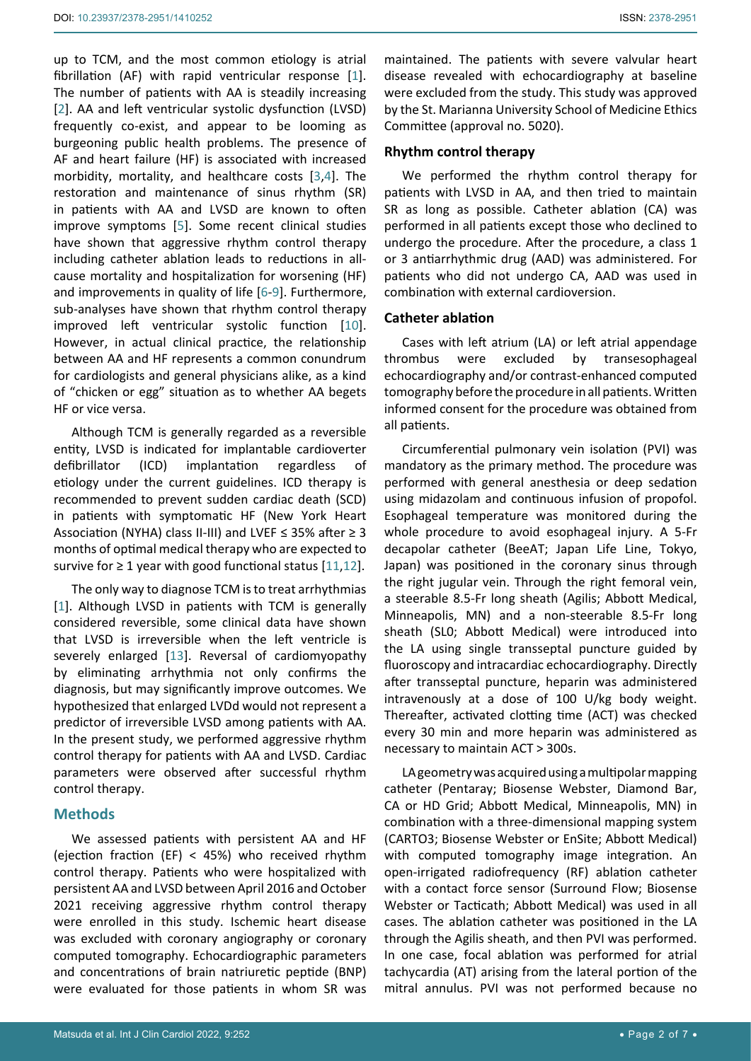up to TCM, and the most common etiology is atrial fibrillation (AF) with rapid ventricular response [[1](#page-5-0)]. The number of patients with AA is steadily increasing [[2](#page-5-1)]. AA and left ventricular systolic dysfunction (LVSD) frequently co-exist, and appear to be looming as burgeoning public health problems. The presence of AF and heart failure (HF) is associated with increased morbidity, mortality, and healthcare costs [[3](#page-5-2),[4](#page-5-3)]. The restoration and maintenance of sinus rhythm (SR) in patients with AA and LVSD are known to often improve symptoms [\[5](#page-5-4)]. Some recent clinical studies have shown that aggressive rhythm control therapy including catheter ablation leads to reductions in allcause mortality and hospitalization for worsening (HF) and improvements in quality of life [[6](#page-5-5)-[9](#page-6-0)]. Furthermore, sub-analyses have shown that rhythm control therapy improved left ventricular systolic function [\[10](#page-6-1)]. However, in actual clinical practice, the relationship between AA and HF represents a common conundrum for cardiologists and general physicians alike, as a kind of "chicken or egg" situation as to whether AA begets HF or vice versa.

Although TCM is generally regarded as a reversible entity, LVSD is indicated for implantable cardioverter defibrillator (ICD) implantation regardless of etiology under the current guidelines. ICD therapy is recommended to prevent sudden cardiac death (SCD) in patients with symptomatic HF (New York Heart Association (NYHA) class II-III) and LVEF ≤ 35% after ≥ 3 months of optimal medical therapy who are expected to survive for  $\geq 1$  year with good functional status [\[11](#page-6-2),[12](#page-6-3)].

The only way to diagnose TCM is to treat arrhythmias [[1](#page-5-0)]. Although LVSD in patients with TCM is generally considered reversible, some clinical data have shown that LVSD is irreversible when the left ventricle is severely enlarged [[13\]](#page-6-4). Reversal of cardiomyopathy by eliminating arrhythmia not only confirms the diagnosis, but may significantly improve outcomes. We hypothesized that enlarged LVDd would not represent a predictor of irreversible LVSD among patients with AA. In the present study, we performed aggressive rhythm control therapy for patients with AA and LVSD. Cardiac parameters were observed after successful rhythm control therapy.

# **Methods**

We assessed patients with persistent AA and HF (ejection fraction (EF) < 45%) who received rhythm control therapy. Patients who were hospitalized with persistent AA and LVSD between April 2016 and October 2021 receiving aggressive rhythm control therapy were enrolled in this study. Ischemic heart disease was excluded with coronary angiography or coronary computed tomography. Echocardiographic parameters and concentrations of brain natriuretic peptide (BNP) were evaluated for those patients in whom SR was maintained. The patients with severe valvular heart disease revealed with echocardiography at baseline were excluded from the study. This study was approved by the St. Marianna University School of Medicine Ethics Committee (approval no. 5020).

## **Rhythm control therapy**

We performed the rhythm control therapy for patients with LVSD in AA, and then tried to maintain SR as long as possible. Catheter ablation (CA) was performed in all patients except those who declined to undergo the procedure. After the procedure, a class 1 or 3 antiarrhythmic drug (AAD) was administered. For patients who did not undergo CA, AAD was used in combination with external cardioversion.

## **Catheter ablation**

Cases with left atrium (LA) or left atrial appendage thrombus were excluded by transesophageal echocardiography and/or contrast-enhanced computed tomography before the procedure in all patients. Written informed consent for the procedure was obtained from all patients.

Circumferential pulmonary vein isolation (PVI) was mandatory as the primary method. The procedure was performed with general anesthesia or deep sedation using midazolam and continuous infusion of propofol. Esophageal temperature was monitored during the whole procedure to avoid esophageal injury. A 5-Fr decapolar catheter (BeeAT; Japan Life Line, Tokyo, Japan) was positioned in the coronary sinus through the right jugular vein. Through the right femoral vein, a steerable 8.5-Fr long sheath (Agilis; Abbott Medical, Minneapolis, MN) and a non-steerable 8.5-Fr long sheath (SL0; Abbott Medical) were introduced into the LA using single transseptal puncture guided by fluoroscopy and intracardiac echocardiography. Directly after transseptal puncture, heparin was administered intravenously at a dose of 100 U/kg body weight. Thereafter, activated clotting time (ACT) was checked every 30 min and more heparin was administered as necessary to maintain ACT > 300s.

LA geometry was acquired using a multipolar mapping catheter (Pentaray; Biosense Webster, Diamond Bar, CA or HD Grid; Abbott Medical, Minneapolis, MN) in combination with a three-dimensional mapping system (CARTO3; Biosense Webster or EnSite; Abbott Medical) with computed tomography image integration. An open-irrigated radiofrequency (RF) ablation catheter with a contact force sensor (Surround Flow; Biosense Webster or Tacticath; Abbott Medical) was used in all cases. The ablation catheter was positioned in the LA through the Agilis sheath, and then PVI was performed. In one case, focal ablation was performed for atrial tachycardia (AT) arising from the lateral portion of the mitral annulus. PVI was not performed because no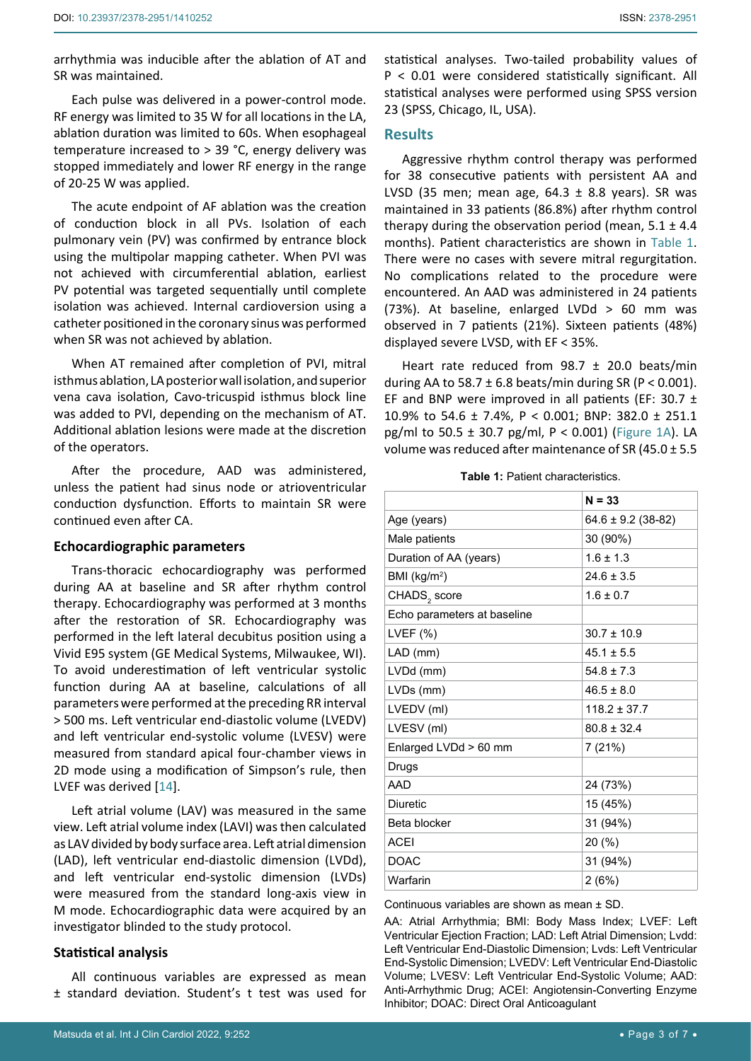arrhythmia was inducible after the ablation of AT and SR was maintained.

Each pulse was delivered in a power-control mode. RF energy was limited to 35 W for all locations in the LA, ablation duration was limited to 60s. When esophageal temperature increased to > 39 °C, energy delivery was stopped immediately and lower RF energy in the range of 20-25 W was applied.

The acute endpoint of AF ablation was the creation of conduction block in all PVs. Isolation of each pulmonary vein (PV) was confirmed by entrance block using the multipolar mapping catheter. When PVI was not achieved with circumferential ablation, earliest PV potential was targeted sequentially until complete isolation was achieved. Internal cardioversion using a catheter positioned in the coronary sinus was performed when SR was not achieved by ablation.

When AT remained after completion of PVI, mitral isthmus ablation, LA posterior wall isolation, and superior vena cava isolation, Cavo-tricuspid isthmus block line was added to PVI, depending on the mechanism of AT. Additional ablation lesions were made at the discretion of the operators.

After the procedure, AAD was administered, unless the patient had sinus node or atrioventricular conduction dysfunction. Efforts to maintain SR were continued even after CA.

#### **Echocardiographic parameters**

Trans-thoracic echocardiography was performed during AA at baseline and SR after rhythm control therapy. Echocardiography was performed at 3 months after the restoration of SR. Echocardiography was performed in the left lateral decubitus position using a Vivid E95 system (GE Medical Systems, Milwaukee, WI). To avoid underestimation of left ventricular systolic function during AA at baseline, calculations of all parameters were performed at the preceding RR interval > 500 ms. Left ventricular end-diastolic volume (LVEDV) and left ventricular end-systolic volume (LVESV) were measured from standard apical four-chamber views in 2D mode using a modification of Simpson's rule, then LVEF was derived [[14](#page-6-5)].

Left atrial volume (LAV) was measured in the same view. Left atrial volume index (LAVI) was then calculated as LAV divided by body surface area. Left atrial dimension (LAD), left ventricular end-diastolic dimension (LVDd), and left ventricular end-systolic dimension (LVDs) were measured from the standard long-axis view in M mode. Echocardiographic data were acquired by an investigator blinded to the study protocol.

## **Statistical analysis**

All continuous variables are expressed as mean ± standard deviation. Student's t test was used for statistical analyses. Two-tailed probability values of P < 0.01 were considered statistically significant. All statistical analyses were performed using SPSS version 23 (SPSS, Chicago, IL, USA).

## **Results**

Aggressive rhythm control therapy was performed for 38 consecutive patients with persistent AA and LVSD (35 men; mean age,  $64.3 \pm 8.8$  years). SR was maintained in 33 patients (86.8%) after rhythm control therapy during the observation period (mean,  $5.1 \pm 4.4$ ) months). Patient characteristics are shown in [Table 1](#page-2-0). There were no cases with severe mitral regurgitation. No complications related to the procedure were encountered. An AAD was administered in 24 patients (73%). At baseline, enlarged LVDd > 60 mm was observed in 7 patients (21%). Sixteen patients (48%) displayed severe LVSD, with EF < 35%.

Heart rate reduced from 98.7 ± 20.0 beats/min during AA to 58.7  $\pm$  6.8 beats/min during SR (P < 0.001). EF and BNP were improved in all patients (EF: 30.7  $\pm$ 10.9% to 54.6 ± 7.4%, P < 0.001; BNP: 382.0 ± 251.1 pg/ml to 50.5 ± 30.7 pg/ml, P < 0.001) ([Figure 1A](#page-3-0)). LA volume was reduced after maintenance of SR (45.0 ± 5.5

<span id="page-2-0"></span>**Table 1:** Patient characteristics.

|                             | $N = 33$               |
|-----------------------------|------------------------|
| Age (years)                 | $64.6 \pm 9.2$ (38-82) |
| Male patients               | 30 (90%)               |
| Duration of AA (years)      | $1.6 \pm 1.3$          |
| BMI ( $kg/m2$ )             | $24.6 + 3.5$           |
| CHADS <sub>2</sub> score    | $1.6 \pm 0.7$          |
| Echo parameters at baseline |                        |
| LVEF $(\%)$                 | $30.7 \pm 10.9$        |
| LAD (mm)                    | $45.1 \pm 5.5$         |
| LVDd (mm)                   | $54.8 + 7.3$           |
| LVDs (mm)                   | $46.5 \pm 8.0$         |
| LVEDV (ml)                  | $118.2 \pm 37.7$       |
| LVESV (ml)                  | $80.8 \pm 32.4$        |
| Enlarged LVDd > 60 mm       | 7 (21%)                |
| Drugs                       |                        |
| AAD                         | 24 (73%)               |
| <b>Diuretic</b>             | 15 (45%)               |
| Beta blocker                | 31 (94%)               |
| <b>ACEI</b>                 | 20(%)                  |
| <b>DOAC</b>                 | 31 (94%)               |
| Warfarin                    | 2(6%)                  |

Continuous variables are shown as mean ± SD.

AA: Atrial Arrhythmia; BMI: Body Mass Index; LVEF: Left Ventricular Ejection Fraction; LAD: Left Atrial Dimension; Lvdd: Left Ventricular End-Diastolic Dimension; Lvds: Left Ventricular End-Systolic Dimension; LVEDV: Left Ventricular End-Diastolic Volume; LVESV: Left Ventricular End-Systolic Volume; AAD: Anti-Arrhythmic Drug; ACEI: Angiotensin-Converting Enzyme Inhibitor; DOAC: Direct Oral Anticoagulant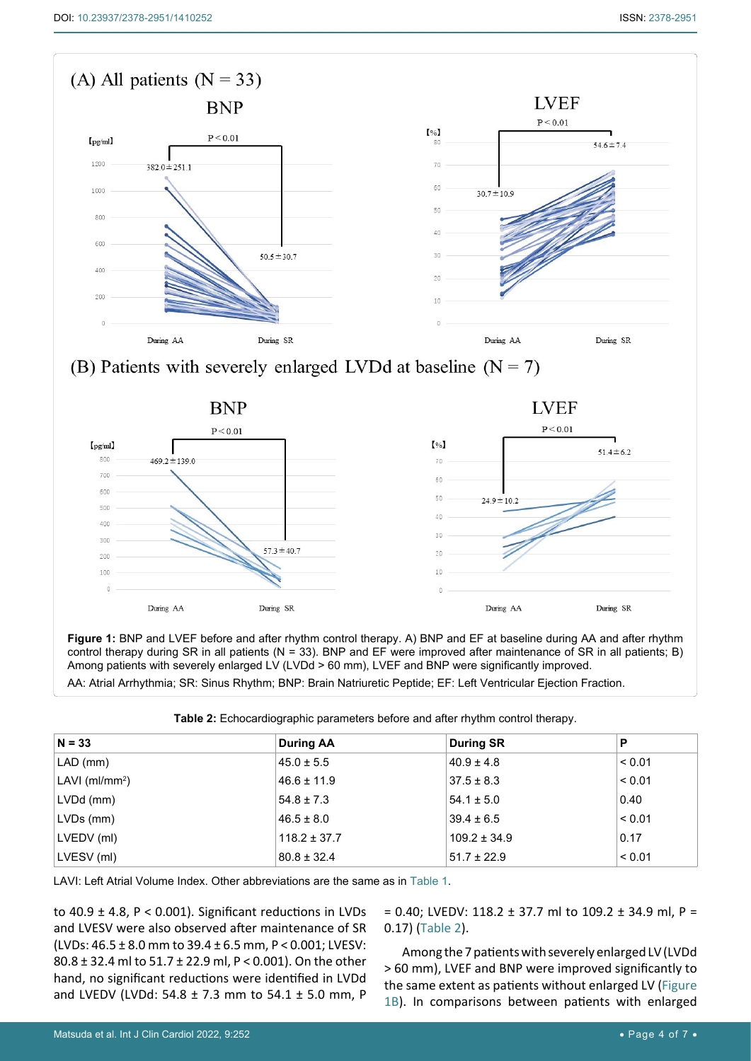300

200  $100$  $\sqrt{ }$ 

During AA

<span id="page-3-0"></span>

AA: Atrial Arrhythmia; SR: Sinus Rhythm; BNP: Brain Natriuretic Peptide; EF: Left Ventricular Ejection Fraction.

Among patients with severely enlarged LV (LVDd > 60 mm), LVEF and BNP were significantly improved.

 $57.3 \pm 40.7$ 

During SR

<span id="page-3-1"></span>

**Figure 1:** BNP and LVEF before and after rhythm control therapy. A) BNP and EF at baseline during AA and after rhythm control therapy during SR in all patients (N = 33). BNP and EF were improved after maintenance of SR in all patients; B)

 $\overline{3}$ 

During AA

During SR

| $N = 33$          | <b>During AA</b> | <b>During SR</b> | P           |
|-------------------|------------------|------------------|-------------|
| $LAD$ (mm)        | $45.0 \pm 5.5$   | $40.9 \pm 4.8$   | < 0.01      |
| LAVI ( $ml/mm2$ ) | $46.6 \pm 11.9$  | $37.5 \pm 8.3$   | ${}_{0.01}$ |
| LVDd (mm)         | $54.8 \pm 7.3$   | $54.1 \pm 5.0$   | 0.40        |
| LVDs (mm)         | $46.5 \pm 8.0$   | $39.4 \pm 6.5$   | < 0.01      |
| LVEDV (ml)        | $118.2 \pm 37.7$ | $109.2 \pm 34.9$ | 0.17        |
| LVESV (ml)        | $80.8 \pm 32.4$  | $51.7 \pm 22.9$  | < 0.01      |

LAVI: Left Atrial Volume Index. Other abbreviations are the same as in [Table 1](#page-2-0).

to 40.9  $\pm$  4.8, P < 0.001). Significant reductions in LVDs and LVESV were also observed after maintenance of SR (LVDs: 46.5 ± 8.0 mm to 39.4 ± 6.5 mm, P < 0.001; LVESV: 80.8 ± 32.4 ml to 51.7 ± 22.9 ml, P < 0.001). On the other hand, no significant reductions were identified in LVDd and LVEDV (LVDd: 54.8 ± 7.3 mm to 54.1 ± 5.0 mm, P = 0.40; LVEDV: 118.2 ± 37.7 ml to 109.2 ± 34.9 ml, P = 0.17) [\(Table 2](#page-3-1)).

Among the 7 patients with severely enlarged LV (LVDd > 60 mm), LVEF and BNP were improved significantly to the same extent as patients without enlarged LV ([Figure](#page-3-0)  [1B](#page-3-0)). In comparisons between patients with enlarged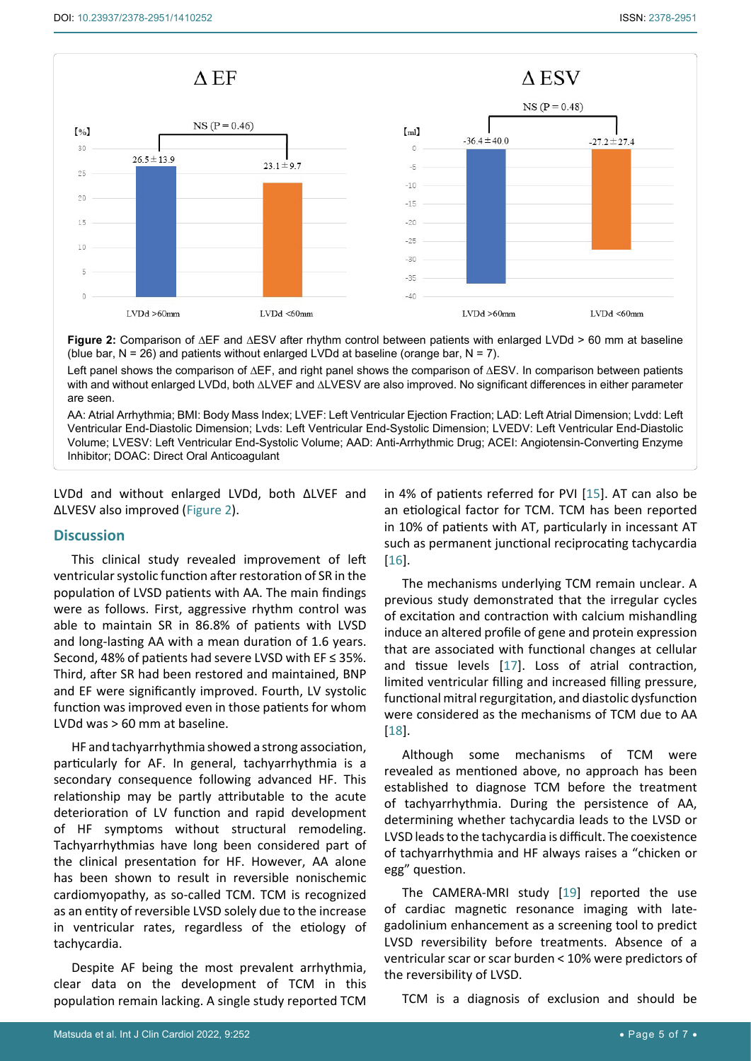<span id="page-4-0"></span>

**Figure 2:** Comparison of ∆EF and ∆ESV after rhythm control between patients with enlarged LVDd > 60 mm at baseline (blue bar,  $N = 26$ ) and patients without enlarged LVDd at baseline (orange bar,  $N = 7$ ).

Left panel shows the comparison of ∆EF, and right panel shows the comparison of ∆ESV. In comparison between patients with and without enlarged LVDd, both ∆LVEF and ∆LVESV are also improved. No significant differences in either parameter are seen.

AA: Atrial Arrhythmia; BMI: Body Mass Index; LVEF: Left Ventricular Ejection Fraction; LAD: Left Atrial Dimension; Lvdd: Left Ventricular End-Diastolic Dimension; Lvds: Left Ventricular End-Systolic Dimension; LVEDV: Left Ventricular End-Diastolic Volume; LVESV: Left Ventricular End-Systolic Volume; AAD: Anti-Arrhythmic Drug; ACEI: Angiotensin-Converting Enzyme Inhibitor; DOAC: Direct Oral Anticoagulant

LVDd and without enlarged LVDd, both ∆LVEF and ∆LVESV also improved ([Figure 2](#page-4-0)).

#### **Discussion**

This clinical study revealed improvement of left ventricular systolic function after restoration of SR in the population of LVSD patients with AA. The main findings were as follows. First, aggressive rhythm control was able to maintain SR in 86.8% of patients with LVSD and long-lasting AA with a mean duration of 1.6 years. Second, 48% of patients had severe LVSD with EF ≤ 35%. Third, after SR had been restored and maintained, BNP and EF were significantly improved. Fourth, LV systolic function was improved even in those patients for whom LVDd was > 60 mm at baseline.

HF and tachyarrhythmia showed a strong association, particularly for AF. In general, tachyarrhythmia is a secondary consequence following advanced HF. This relationship may be partly attributable to the acute deterioration of LV function and rapid development of HF symptoms without structural remodeling. Tachyarrhythmias have long been considered part of the clinical presentation for HF. However, AA alone has been shown to result in reversible nonischemic cardiomyopathy, as so-called TCM. TCM is recognized as an entity of reversible LVSD solely due to the increase in ventricular rates, regardless of the etiology of tachycardia.

Despite AF being the most prevalent arrhythmia, clear data on the development of TCM in this population remain lacking. A single study reported TCM in 4% of patients referred for PVI [[15\]](#page-6-6). AT can also be an etiological factor for TCM. TCM has been reported in 10% of patients with AT, particularly in incessant AT such as permanent junctional reciprocating tachycardia [\[16](#page-6-7)].

The mechanisms underlying TCM remain unclear. A previous study demonstrated that the irregular cycles of excitation and contraction with calcium mishandling induce an altered profile of gene and protein expression that are associated with functional changes at cellular and tissue levels [\[17](#page-6-8)]. Loss of atrial contraction, limited ventricular filling and increased filling pressure, functional mitral regurgitation, and diastolic dysfunction were considered as the mechanisms of TCM due to AA [\[18](#page-6-9)].

Although some mechanisms of TCM were revealed as mentioned above, no approach has been established to diagnose TCM before the treatment of tachyarrhythmia. During the persistence of AA, determining whether tachycardia leads to the LVSD or LVSD leads to the tachycardia is difficult. The coexistence of tachyarrhythmia and HF always raises a "chicken or egg" question.

The CAMERA-MRI study [\[19](#page-6-10)] reported the use of cardiac magnetic resonance imaging with lategadolinium enhancement as a screening tool to predict LVSD reversibility before treatments. Absence of a ventricular scar or scar burden < 10% were predictors of the reversibility of LVSD.

TCM is a diagnosis of exclusion and should be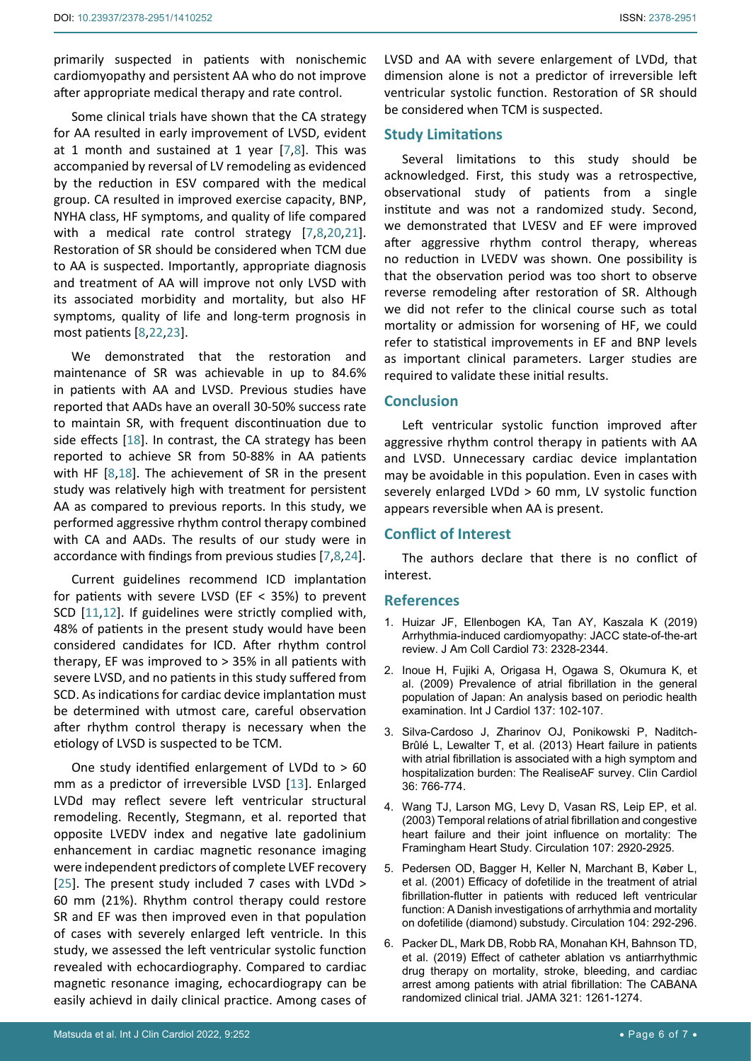primarily suspected in patients with nonischemic cardiomyopathy and persistent AA who do not improve after appropriate medical therapy and rate control.

Some clinical trials have shown that the CA strategy for AA resulted in early improvement of LVSD, evident at 1 month and sustained at 1 year [[7](#page-6-11),[8\]](#page-6-12). This was accompanied by reversal of LV remodeling as evidenced by the reduction in ESV compared with the medical group. CA resulted in improved exercise capacity, BNP, NYHA class, HF symptoms, and quality of life compared with a medical rate control strategy [[7](#page-6-11),[8](#page-6-12)[,20,](#page-6-13)[21](#page-6-14)]. Restoration of SR should be considered when TCM due to AA is suspected. Importantly, appropriate diagnosis and treatment of AA will improve not only LVSD with its associated morbidity and mortality, but also HF symptoms, quality of life and long-term prognosis in most patients [[8](#page-6-12)[,22](#page-6-15),[23](#page-6-16)].

We demonstrated that the restoration and maintenance of SR was achievable in up to 84.6% in patients with AA and LVSD. Previous studies have reported that AADs have an overall 30-50% success rate to maintain SR, with frequent discontinuation due to side effects [\[18\]](#page-6-9). In contrast, the CA strategy has been reported to achieve SR from 50-88% in AA patients with HF [[8](#page-6-12),[18\]](#page-6-9). The achievement of SR in the present study was relatively high with treatment for persistent AA as compared to previous reports. In this study, we performed aggressive rhythm control therapy combined with CA and AADs. The results of our study were in accordance with findings from previous studies [\[7](#page-6-11),[8](#page-6-12),[24](#page-6-17)].

Current guidelines recommend ICD implantation for patients with severe LVSD (EF < 35%) to prevent SCD [[11](#page-6-2),[12\]](#page-6-3). If guidelines were strictly complied with, 48% of patients in the present study would have been considered candidates for ICD. After rhythm control therapy, EF was improved to > 35% in all patients with severe LVSD, and no patients in this study suffered from SCD. As indications for cardiac device implantation must be determined with utmost care, careful observation after rhythm control therapy is necessary when the etiology of LVSD is suspected to be TCM.

One study identified enlargement of LVDd to > 60 mm as a predictor of irreversible LVSD [\[13](#page-6-4)]. Enlarged LVDd may reflect severe left ventricular structural remodeling. Recently, Stegmann, et al. reported that opposite LVEDV index and negative late gadolinium enhancement in cardiac magnetic resonance imaging were independent predictors of complete LVEF recovery [[25](#page-6-18)]. The present study included 7 cases with LVDd > 60 mm (21%). Rhythm control therapy could restore SR and EF was then improved even in that population of cases with severely enlarged left ventricle. In this study, we assessed the left ventricular systolic function revealed with echocardiography. Compared to cardiac magnetic resonance imaging, echocardiograpy can be easily achievd in daily clinical practice. Among cases of

LVSD and AA with severe enlargement of LVDd, that dimension alone is not a predictor of irreversible left ventricular systolic function. Restoration of SR should be considered when TCM is suspected.

#### **Study Limitations**

Several limitations to this study should be acknowledged. First, this study was a retrospective, observational study of patients from a single institute and was not a randomized study. Second, we demonstrated that LVESV and EF were improved after aggressive rhythm control therapy, whereas no reduction in LVEDV was shown. One possibility is that the observation period was too short to observe reverse remodeling after restoration of SR. Although we did not refer to the clinical course such as total mortality or admission for worsening of HF, we could refer to statistical improvements in EF and BNP levels as important clinical parameters. Larger studies are required to validate these initial results.

#### **Conclusion**

Left ventricular systolic function improved after aggressive rhythm control therapy in patients with AA and LVSD. Unnecessary cardiac device implantation may be avoidable in this population. Even in cases with severely enlarged LVDd > 60 mm, LV systolic function appears reversible when AA is present.

## **Conflict of Interest**

The authors declare that there is no conflict of interest.

#### **References**

- <span id="page-5-0"></span>1. [Huizar JF, Ellenbogen KA, Tan AY, Kaszala K \(2019\)](https://pubmed.ncbi.nlm.nih.gov/31072578/)  [Arrhythmia-induced cardiomyopathy: JACC state-of-the-art](https://pubmed.ncbi.nlm.nih.gov/31072578/)  [review. J Am Coll Cardiol 73: 2328-2344.](https://pubmed.ncbi.nlm.nih.gov/31072578/)
- <span id="page-5-1"></span>2. [Inoue H, Fujiki A, Origasa H, Ogawa S, Okumura K, et](https://pubmed.ncbi.nlm.nih.gov/18691774/)  [al. \(2009\) Prevalence of atrial fibrillation in the general](https://pubmed.ncbi.nlm.nih.gov/18691774/)  [population of Japan: An analysis based on periodic health](https://pubmed.ncbi.nlm.nih.gov/18691774/)  [examination. Int J Cardiol 137: 102-107.](https://pubmed.ncbi.nlm.nih.gov/18691774/)
- <span id="page-5-2"></span>3. [Silva-Cardoso J, Zharinov OJ, Ponikowski P, Naditch-](https://pubmed.ncbi.nlm.nih.gov/24105492/)[Brûlé L, Lewalter T, et al. \(2013\) Heart failure in patients](https://pubmed.ncbi.nlm.nih.gov/24105492/)  [with atrial fibrillation is associated with a high symptom and](https://pubmed.ncbi.nlm.nih.gov/24105492/)  [hospitalization burden: The RealiseAF survey. Clin Cardiol](https://pubmed.ncbi.nlm.nih.gov/24105492/)  [36: 766-774.](https://pubmed.ncbi.nlm.nih.gov/24105492/)
- <span id="page-5-3"></span>4. [Wang TJ, Larson MG, Levy D, Vasan RS, Leip EP, et al.](https://pubmed.ncbi.nlm.nih.gov/12771006/)  [\(2003\) Temporal relations of atrial fibrillation and congestive](https://pubmed.ncbi.nlm.nih.gov/12771006/)  [heart failure and their joint influence on mortality: The](https://pubmed.ncbi.nlm.nih.gov/12771006/)  [Framingham Heart Study. Circulation 107: 2920-2925.](https://pubmed.ncbi.nlm.nih.gov/12771006/)
- <span id="page-5-4"></span>5. [Pedersen OD, Bagger H, Keller N, Marchant B, Køber L,](https://pubmed.ncbi.nlm.nih.gov/11457747/)  [et al. \(2001\) Efficacy of dofetilide in the treatment of atrial](https://pubmed.ncbi.nlm.nih.gov/11457747/)  [fibrillation-flutter in patients with reduced left ventricular](https://pubmed.ncbi.nlm.nih.gov/11457747/)  [function: A Danish investigations of arrhythmia and mortality](https://pubmed.ncbi.nlm.nih.gov/11457747/)  [on dofetilide \(diamond\) substudy. Circulation 104: 292-296.](https://pubmed.ncbi.nlm.nih.gov/11457747/)
- <span id="page-5-5"></span>6. [Packer DL, Mark DB, Robb RA, Monahan KH, Bahnson TD,](https://pubmed.ncbi.nlm.nih.gov/30874766/)  [et al. \(2019\) Effect of catheter ablation vs antiarrhythmic](https://pubmed.ncbi.nlm.nih.gov/30874766/)  [drug therapy on mortality, stroke, bleeding, and cardiac](https://pubmed.ncbi.nlm.nih.gov/30874766/)  [arrest among patients with atrial fibrillation: The CABANA](https://pubmed.ncbi.nlm.nih.gov/30874766/)  [randomized clinical trial. JAMA 321: 1261-1274.](https://pubmed.ncbi.nlm.nih.gov/30874766/)